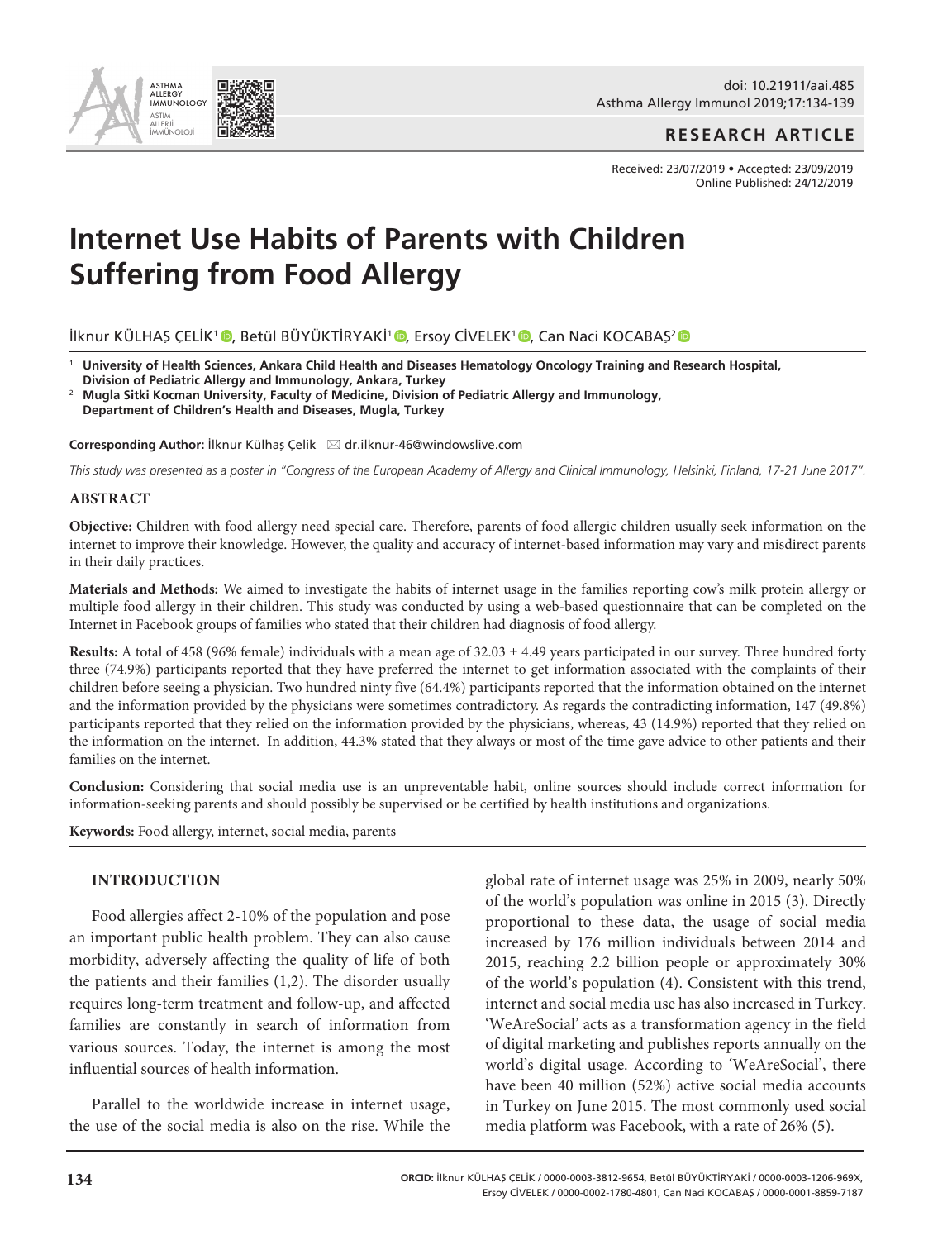

doi: 10.21911/aai.485 Asthma Allergy Immunol 2019;17:134-139

**RESEARCH ARTICLE**

Received: 23/07/2019 • Accepted: 23/09/2019 Online Published: 24/12/2019

# **Internet Use Habits of Parents with Children Suffering from Food Allergy**

İlknur KÜLHAŞ ÇELİK<sup>1</sup> ©[,](https://orcid.org/0000-0003-1206-969X)Betül BÜYÜKTİRYAKİ<sup>1</sup> ©, Ersoy CİVELEK<sup>1</sup> ©, Can Naci KOCABAŞ<sup>2</sup>

<sup>1</sup> **University of Health Sciences, Ankara Child Health and Diseases Hematology Oncology Training and Research Hospital, Division of Pediatric Allergy and Immunology, Ankara, Turkey**

<sup>2</sup> **Mugla Sitki Kocman University, Faculty of Medicine, Division of Pediatric Allergy and Immunology, Department of Children's Health and Diseases, Mugla, Turkey**

**Corresponding Author: İlknur Külhaş Çelik ⊠dr.ilknur-46@windowslive.com** 

*This study was presented as a poster in "Congress of the European Academy of Allergy and Clinical Immunology, Helsinki, Finland, 17-21 June 2017".*

# **ABSTRACT**

**Objective:** Children with food allergy need special care. Therefore, parents of food allergic children usually seek information on the internet to improve their knowledge. However, the quality and accuracy of internet-based information may vary and misdirect parents in their daily practices.

**Materials and Methods:** We aimed to investigate the habits of internet usage in the families reporting cow's milk protein allergy or multiple food allergy in their children. This study was conducted by using a web-based questionnaire that can be completed on the Internet in Facebook groups of families who stated that their children had diagnosis of food allergy.

**Results:** A total of 458 (96% female) individuals with a mean age of  $32.03 \pm 4.49$  years participated in our survey. Three hundred forty three (74.9%) participants reported that they have preferred the internet to get information associated with the complaints of their children before seeing a physician. Two hundred ninty five (64.4%) participants reported that the information obtained on the internet and the information provided by the physicians were sometimes contradictory. As regards the contradicting information, 147 (49.8%) participants reported that they relied on the information provided by the physicians, whereas, 43 (14.9%) reported that they relied on the information on the internet. In addition, 44.3% stated that they always or most of the time gave advice to other patients and their families on the internet.

**Conclusion:** Considering that social media use is an unpreventable habit, online sources should include correct information for information-seeking parents and should possibly be supervised or be certified by health institutions and organizations.

**Keywords:** Food allergy, internet, social media, parents

# **INTRODUCTION**

Food allergies affect 2-10% of the population and pose an important public health problem. They can also cause morbidity, adversely affecting the quality of life of both the patients and their families (1,2). The disorder usually requires long-term treatment and follow-up, and affected families are constantly in search of information from various sources. Today, the internet is among the most influential sources of health information.

Parallel to the worldwide increase in internet usage, the use of the social media is also on the rise. While the global rate of internet usage was 25% in 2009, nearly 50% of the world's population was online in 2015 (3). Directly proportional to these data, the usage of social media increased by 176 million individuals between 2014 and 2015, reaching 2.2 billion people or approximately 30% of the world's population (4). Consistent with this trend, internet and social media use has also increased in Turkey. 'WeAreSocial' acts as a transformation agency in the field of digital marketing and publishes reports annually on the world's digital usage. According to 'WeAreSocial', there have been 40 million (52%) active social media accounts in Turkey on June 2015. The most commonly used social media platform was Facebook, with a rate of 26% (5).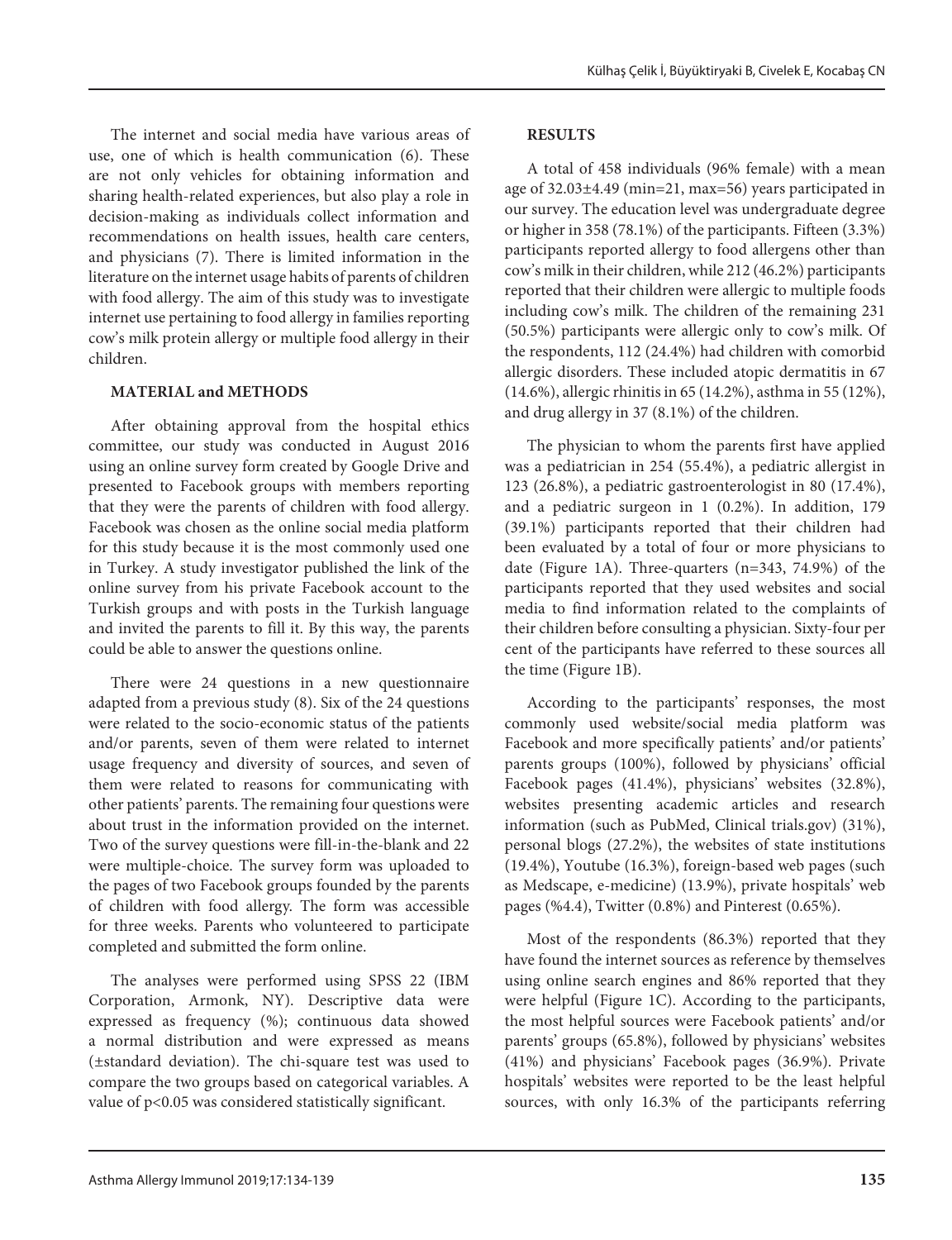The internet and social media have various areas of use, one of which is health communication (6). These are not only vehicles for obtaining information and sharing health-related experiences, but also play a role in decision-making as individuals collect information and recommendations on health issues, health care centers, and physicians (7). There is limited information in the literature on the internet usage habits of parents of children with food allergy. The aim of this study was to investigate internet use pertaining to food allergy in families reporting cow's milk protein allergy or multiple food allergy in their children.

# **MATERIAL and METHODS**

After obtaining approval from the hospital ethics committee, our study was conducted in August 2016 using an online survey form created by Google Drive and presented to Facebook groups with members reporting that they were the parents of children with food allergy. Facebook was chosen as the online social media platform for this study because it is the most commonly used one in Turkey. A study investigator published the link of the online survey from his private Facebook account to the Turkish groups and with posts in the Turkish language and invited the parents to fill it. By this way, the parents could be able to answer the questions online.

There were 24 questions in a new questionnaire adapted from a previous study (8). Six of the 24 questions were related to the socio-economic status of the patients and/or parents, seven of them were related to internet usage frequency and diversity of sources, and seven of them were related to reasons for communicating with other patients' parents. The remaining four questions were about trust in the information provided on the internet. Two of the survey questions were fill-in-the-blank and 22 were multiple-choice. The survey form was uploaded to the pages of two Facebook groups founded by the parents of children with food allergy. The form was accessible for three weeks. Parents who volunteered to participate completed and submitted the form online.

The analyses were performed using SPSS 22 (IBM Corporation, Armonk, NY). Descriptive data were expressed as frequency (%); continuous data showed a normal distribution and were expressed as means (±standard deviation). The chi-square test was used to compare the two groups based on categorical variables. A value of p<0.05 was considered statistically significant.

# **RESULTS**

A total of 458 individuals (96% female) with a mean age of 32.03±4.49 (min=21, max=56) years participated in our survey. The education level was undergraduate degree or higher in 358 (78.1%) of the participants. Fifteen (3.3%) participants reported allergy to food allergens other than cow's milk in their children, while 212 (46.2%) participants reported that their children were allergic to multiple foods including cow's milk. The children of the remaining 231 (50.5%) participants were allergic only to cow's milk. Of the respondents, 112 (24.4%) had children with comorbid allergic disorders. These included atopic dermatitis in 67 (14.6%), allergic rhinitis in 65 (14.2%), asthma in 55 (12%), and drug allergy in 37 (8.1%) of the children.

The physician to whom the parents first have applied was a pediatrician in 254 (55.4%), a pediatric allergist in 123 (26.8%), a pediatric gastroenterologist in 80 (17.4%), and a pediatric surgeon in 1 (0.2%). In addition, 179 (39.1%) participants reported that their children had been evaluated by a total of four or more physicians to date (Figure 1A). Three-quarters (n=343, 74.9%) of the participants reported that they used websites and social media to find information related to the complaints of their children before consulting a physician. Sixty-four per cent of the participants have referred to these sources all the time (Figure 1B).

According to the participants' responses, the most commonly used website/social media platform was Facebook and more specifically patients' and/or patients' parents groups (100%), followed by physicians' official Facebook pages (41.4%), physicians' websites (32.8%), websites presenting academic articles and research information (such as PubMed, Clinical trials.gov) (31%), personal blogs (27.2%), the websites of state institutions (19.4%), Youtube (16.3%), foreign-based web pages (such as Medscape, e-medicine) (13.9%), private hospitals' web pages (%4.4), Twitter (0.8%) and Pinterest (0.65%).

Most of the respondents (86.3%) reported that they have found the internet sources as reference by themselves using online search engines and 86% reported that they were helpful (Figure 1C). According to the participants, the most helpful sources were Facebook patients' and/or parents' groups (65.8%), followed by physicians' websites (41%) and physicians' Facebook pages (36.9%). Private hospitals' websites were reported to be the least helpful sources, with only 16.3% of the participants referring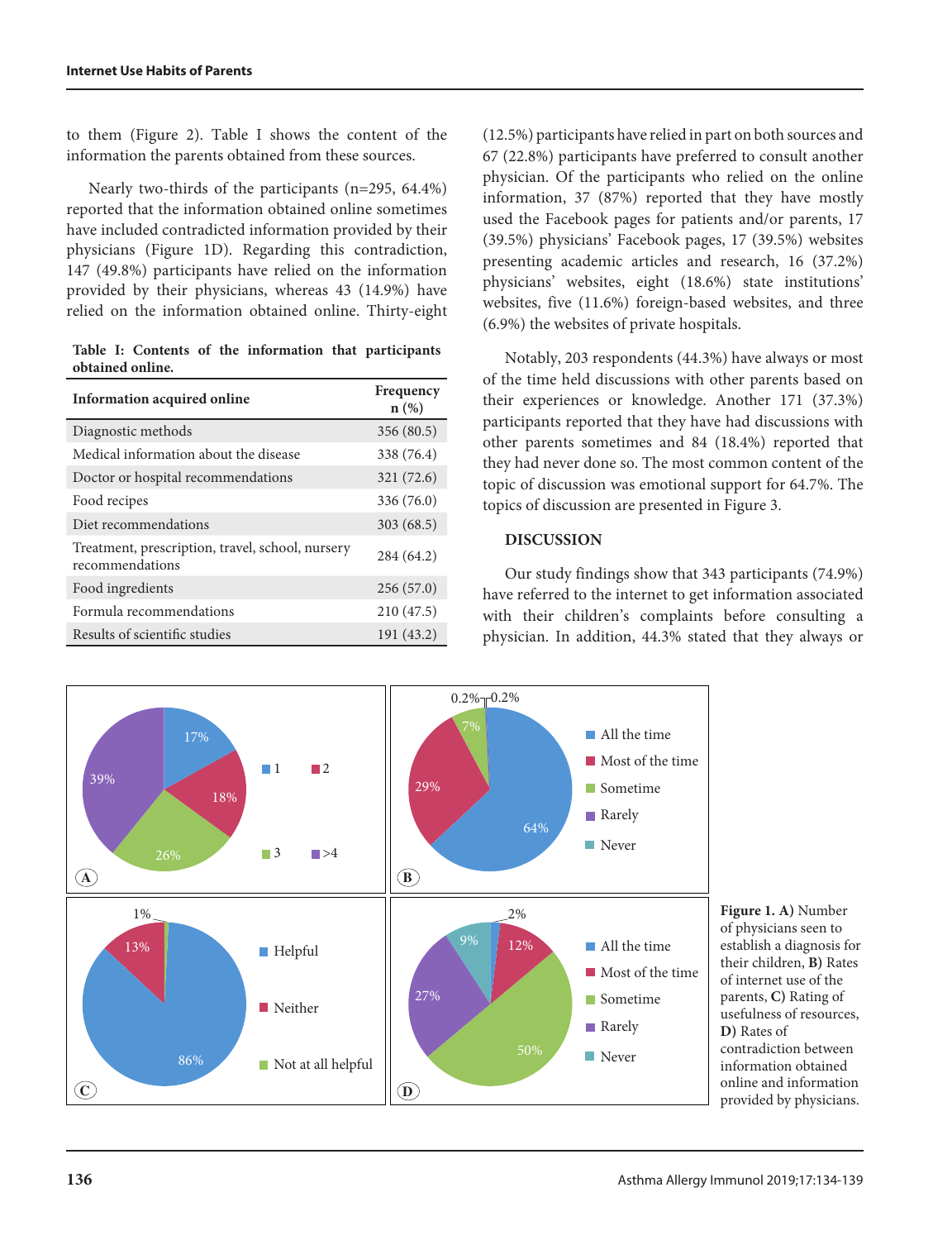to them (Figure 2). Table I shows the content of the information the parents obtained from these sources.

Nearly two-thirds of the participants (n=295, 64.4%) reported that the information obtained online sometimes have included contradicted information provided by their physicians (Figure 1D). Regarding this contradiction, 147 (49.8%) participants have relied on the information provided by their physicians, whereas 43 (14.9%) have relied on the information obtained online. Thirty-eight

|  |                  |  |  | Table I: Contents of the information that participants |  |
|--|------------------|--|--|--------------------------------------------------------|--|
|  | obtained online. |  |  |                                                        |  |

| Information acquired online                                         | Frequency<br>$n(\%)$ |
|---------------------------------------------------------------------|----------------------|
| Diagnostic methods                                                  | 356 (80.5)           |
| Medical information about the disease                               | 338 (76.4)           |
| Doctor or hospital recommendations                                  | 321 (72.6)           |
| Food recipes                                                        | 336 (76.0)           |
| Diet recommendations                                                | 303(68.5)            |
| Treatment, prescription, travel, school, nursery<br>recommendations | 284 (64.2)           |
| Food ingredients                                                    | 256(57.0)            |
| Formula recommendations                                             | 210(47.5)            |
| Results of scientific studies                                       | 191(43.2)            |

(12.5%) participants have relied in part on both sources and 67 (22.8%) participants have preferred to consult another physician. Of the participants who relied on the online information, 37 (87%) reported that they have mostly used the Facebook pages for patients and/or parents, 17 (39.5%) physicians' Facebook pages, 17 (39.5%) websites presenting academic articles and research, 16 (37.2%) physicians' websites, eight (18.6%) state institutions' websites, five (11.6%) foreign-based websites, and three (6.9%) the websites of private hospitals.

Notably, 203 respondents (44.3%) have always or most of the time held discussions with other parents based on their experiences or knowledge. Another 171 (37.3%) participants reported that they have had discussions with other parents sometimes and 84 (18.4%) reported that they had never done so. The most common content of the topic of discussion was emotional support for 64.7%. The topics of discussion are presented in Figure 3.

### **DISCUSSION**

Our study findings show that 343 participants (74.9%) have referred to the internet to get information associated with their children's complaints before consulting a physician. In addition, 44.3% stated that they always or



**Figure 1. A)** Number of physicians seen to establish a diagnosis for their children, **B)** Rates of internet use of the parents, **C)** Rating of usefulness of resources, **D)** Rates of contradiction between information obtained online and information provided by physicians.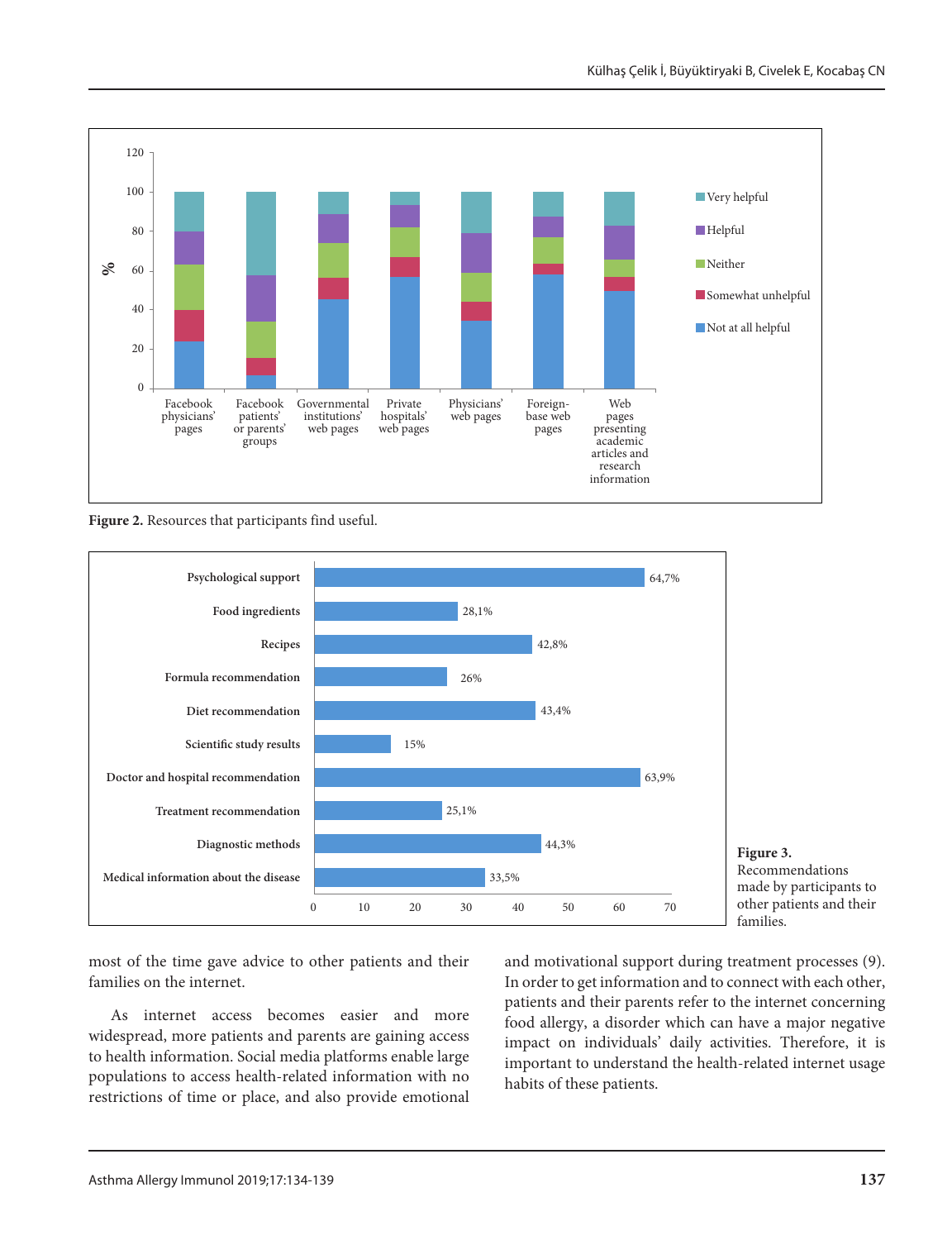

**Figure 2.** Resources that participants find useful.



**Figure 3.** Recommendations made by participants to other patients and their families.

most of the time gave advice to other patients and their families on the internet.

As internet access becomes easier and more widespread, more patients and parents are gaining access to health information. Social media platforms enable large populations to access health-related information with no restrictions of time or place, and also provide emotional

and motivational support during treatment processes (9). In order to get information and to connect with each other, patients and their parents refer to the internet concerning food allergy, a disorder which can have a major negative impact on individuals' daily activities. Therefore, it is important to understand the health-related internet usage habits of these patients.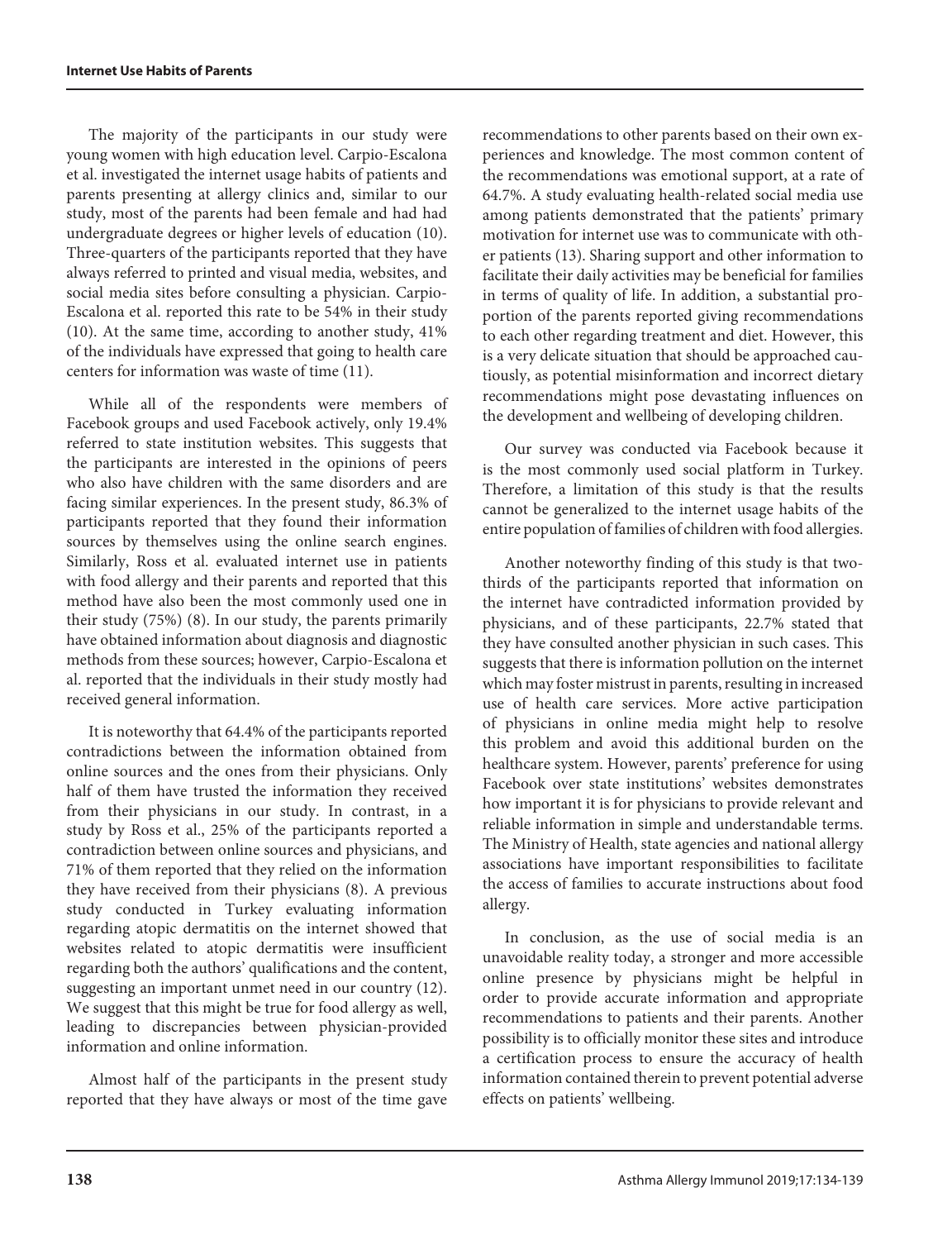The majority of the participants in our study were young women with high education level. Carpio-Escalona et al. investigated the internet usage habits of patients and parents presenting at allergy clinics and, similar to our study, most of the parents had been female and had had undergraduate degrees or higher levels of education (10). Three-quarters of the participants reported that they have always referred to printed and visual media, websites, and social media sites before consulting a physician. Carpio-Escalona et al. reported this rate to be 54% in their study (10). At the same time, according to another study, 41% of the individuals have expressed that going to health care centers for information was waste of time (11).

While all of the respondents were members of Facebook groups and used Facebook actively, only 19.4% referred to state institution websites. This suggests that the participants are interested in the opinions of peers who also have children with the same disorders and are facing similar experiences. In the present study, 86.3% of participants reported that they found their information sources by themselves using the online search engines. Similarly, Ross et al. evaluated internet use in patients with food allergy and their parents and reported that this method have also been the most commonly used one in their study (75%) (8). In our study, the parents primarily have obtained information about diagnosis and diagnostic methods from these sources; however, Carpio-Escalona et al. reported that the individuals in their study mostly had received general information.

It is noteworthy that 64.4% of the participants reported contradictions between the information obtained from online sources and the ones from their physicians. Only half of them have trusted the information they received from their physicians in our study. In contrast, in a study by Ross et al., 25% of the participants reported a contradiction between online sources and physicians, and 71% of them reported that they relied on the information they have received from their physicians (8). A previous study conducted in Turkey evaluating information regarding atopic dermatitis on the internet showed that websites related to atopic dermatitis were insufficient regarding both the authors' qualifications and the content, suggesting an important unmet need in our country (12). We suggest that this might be true for food allergy as well, leading to discrepancies between physician-provided information and online information.

Almost half of the participants in the present study reported that they have always or most of the time gave

recommendations to other parents based on their own experiences and knowledge. The most common content of the recommendations was emotional support, at a rate of 64.7%. A study evaluating health-related social media use among patients demonstrated that the patients' primary motivation for internet use was to communicate with other patients (13). Sharing support and other information to facilitate their daily activities may be beneficial for families in terms of quality of life. In addition, a substantial proportion of the parents reported giving recommendations to each other regarding treatment and diet. However, this is a very delicate situation that should be approached cautiously, as potential misinformation and incorrect dietary recommendations might pose devastating influences on the development and wellbeing of developing children.

Our survey was conducted via Facebook because it is the most commonly used social platform in Turkey. Therefore, a limitation of this study is that the results cannot be generalized to the internet usage habits of the entire population of families of children with food allergies.

Another noteworthy finding of this study is that twothirds of the participants reported that information on the internet have contradicted information provided by physicians, and of these participants, 22.7% stated that they have consulted another physician in such cases. This suggests that there is information pollution on the internet which may foster mistrust in parents, resulting in increased use of health care services. More active participation of physicians in online media might help to resolve this problem and avoid this additional burden on the healthcare system. However, parents' preference for using Facebook over state institutions' websites demonstrates how important it is for physicians to provide relevant and reliable information in simple and understandable terms. The Ministry of Health, state agencies and national allergy associations have important responsibilities to facilitate the access of families to accurate instructions about food allergy.

In conclusion, as the use of social media is an unavoidable reality today, a stronger and more accessible online presence by physicians might be helpful in order to provide accurate information and appropriate recommendations to patients and their parents. Another possibility is to officially monitor these sites and introduce a certification process to ensure the accuracy of health information contained therein to prevent potential adverse effects on patients' wellbeing.